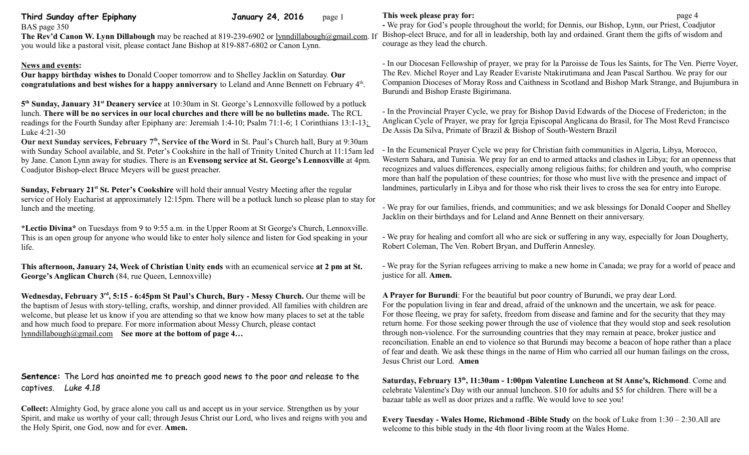| Third Sunday after Epiphany<br>BAS page 350                                                                                                                                                                                                                                                                                                                                                                | <b>January 24, 2016</b> | page 1                                                      | This week p<br>- We pray for                                   |
|------------------------------------------------------------------------------------------------------------------------------------------------------------------------------------------------------------------------------------------------------------------------------------------------------------------------------------------------------------------------------------------------------------|-------------------------|-------------------------------------------------------------|----------------------------------------------------------------|
| The Rev'd Canon W. Lynn Dillabough may be reached at 819-239-6902 or lynndillabough@gmail.com. If<br>you would like a pastoral visit, please contact Jane Bishop at 819-887-6802 or Canon Lynn.                                                                                                                                                                                                            |                         |                                                             | Bishop-elect<br>courage as th                                  |
| <b>News and events:</b><br><b>Our happy birthday wishes to Donald Cooper tomorrow and to Shelley Jacklin on Saturday. Our</b><br>congratulations and best wishes for a happy anniversary to Leland and Anne Bennett on February 4th.                                                                                                                                                                       |                         | - In our Dioc<br>The Rev. Mio<br>Companion I<br>Burundi and |                                                                |
| 5 <sup>th</sup> Sunday, January 31 <sup>st</sup> Deanery service at 10:30am in St. George's Lennoxville followed by a potluck<br>lunch. There will be no services in our local churches and there will be no bulletins made. The RCL<br>readings for the Fourth Sunday after Epiphany are: Jeremiah 1:4-10; Psalm 71:1-6; 1 Corinthians 13:1-13.<br>Luke 4:21-30                                           |                         |                                                             | - In the Provi<br>Anglican Cy<br>De Assis Da                   |
| Our next Sunday services, February 7 <sup>th</sup> , Service of the Word in St. Paul's Church hall, Bury at 9:30am<br>with Sunday School available, and St. Peter's Cookshire in the hall of Trinity United Church at 11:15am led<br>by Jane. Canon Lynn away for studies. There is an Evensong service at St. George's Lennoxville at 4pm.<br>Coadjutor Bishop-elect Bruce Meyers will be guest preacher. |                         |                                                             | - In the Ecun<br>Western Saha<br>recognizes an<br>more than ha |

**Sunday, February 21st St. Peter's Cookshire** will hold their annual Vestry Meeting after the regular service of Holy Eucharist at approximately 12:15pm. There will be a potluck lunch so please plan to stay for lunch and the meeting.

**\*Lectio Divina\*** on Tuesdays from 9 to 9:55 a.m. in the Upper Room at St George's Church, Lennoxville. This is an open group for anyone who would like to enter holy silence and listen for God speaking in your life.

**This afternoon, January 24, Week of Christian Unity ends** with an ecumenical service **at 2 pm at St. George's Anglican Church** (84, rue Queen, Lennoxville)

**Wednesday, February 3rd, 5:15 - 6:45pm St Paul's Church, Bury - Messy Church.** Our theme will be the baptism of Jesus with story-telling, crafts, worship, and dinner provided. All families with children are welcome, but please let us know if you are attending so that we know how many places to set at the table and how much food to prepare. For more information about Messy Church, please contact [lynndillabough@gmail.com](mailto:lynndillabough@gmail.com) **See more at the bottom of page 4…**

**Sentence:** The Lord has anointed me to preach good news to the poor and release to the captives. *Luke 4.18*

**Collect:** Almighty God, by grace alone you call us and accept us in your service. Strengthen us by your Spirit, and make us worthy of your call; through Jesus Christ our Lord, who lives and reigns with you and the Holy Spirit, one God, now and for ever. **Amen.**

## **The page 4 This week pray for: Page 4 Page 4**

r God's people throughout the world; for Dennis, our Bishop, Lynn, our Priest, Coadjutor Bruce, and for all in leadership, both lay and ordained. Grant them the gifts of wisdom and ney lead the church.

esan Fellowship of prayer, we pray for la Paroisse de Tous les Saints, for The Ven. Pierre Voyer, chel Royer and Lay Reader Evariste Ntakirutimana and Jean Pascal Sarthou. We pray for our Dioceses of Moray Ross and Caithness in Scotland and Bishop Mark Strange, and Bujumbura in Bishop Eraste Bigirimana.

incial Prayer Cycle, we pray for Bishop David Edwards of the Diocese of Fredericton; in the cle of Prayer, we pray for Igreja Episcopal Anglicana do Brasil, for The Most Revd Francisco Silva, Primate of Brazil & Bishop of South-Western Brazil

nenical Prayer Cycle we pray for Christian faith communities in Algeria, Libya, Morocco, ara, and Tunisia. We pray for an end to armed attacks and clashes in Libya; for an openness that nd values differences, especially among religious faiths; for children and youth, who comprise more than half the population of these countries; for those who must live with the presence and impact of landmines, particularly in Libya and for those who risk their lives to cross the sea for entry into Europe.

- We pray for our families, friends, and communities; and we ask blessings for Donald Cooper and Shelley Jacklin on their birthdays and for Leland and Anne Bennett on their anniversary.

- We pray for healing and comfort all who are sick or suffering in any way, especially for Joan Dougherty, Robert Coleman, The Ven. Robert Bryan, and Dufferin Annesley.

- We pray for the Syrian refugees arriving to make a new home in Canada; we pray for a world of peace and justice for all. **Amen.**

**A Prayer for Burundi**: For the beautiful but poor country of Burundi, we pray dear Lord. For the population living in fear and dread, afraid of the unknown and the uncertain, we ask for peace. For those fleeing, we pray for safety, freedom from disease and famine and for the security that they may return home. For those seeking power through the use of violence that they would stop and seek resolution through non-violence. For the surrounding countries that they may remain at peace, broker justice and reconciliation. Enable an end to violence so that Burundi may become a beacon of hope rather than a place of fear and death. We ask these things in the name of Him who carried all our human failings on the cross, Jesus Christ our Lord. **Amen**

**Saturday, February 13th, 11:30am - 1:00pm Valentine Luncheon at St Anne's, Richmond**. Come and celebrate Valentine's Day with our annual luncheon. \$10 for adults and \$5 for children. There will be a bazaar table as well as door prizes and a raffle. We would love to see you!

**Every Tuesday - Wales Home, Richmond -Bible Study** on the book of Luke from 1:30 – 2:30.All are welcome to this bible study in the 4th floor living room at the Wales Home.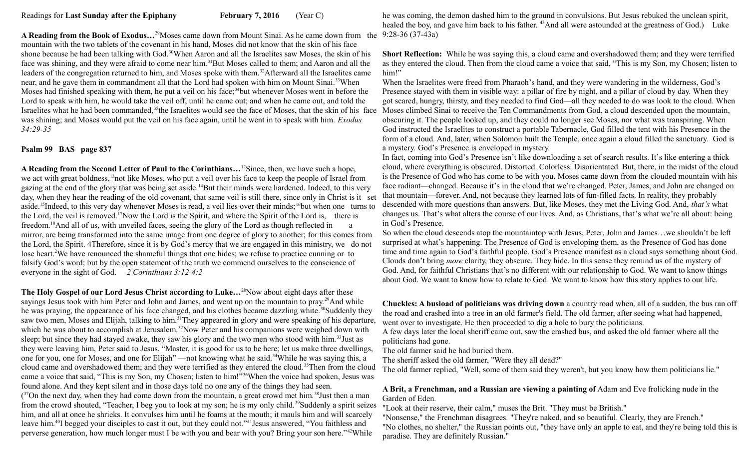**A Reading from the Book of Exodus…**<sup>29</sup>Moses came down from Mount Sinai. As he came down from the 9:28-36 (37-43a) mountain with the two tablets of the covenant in his hand, Moses did not know that the skin of his face shone because he had been talking with God.<sup>30</sup>When Aaron and all the Israelites saw Moses, the skin of his face was shining, and they were afraid to come near him.<sup>31</sup>But Moses called to them; and Aaron and all the leaders of the congregation returned to him, and Moses spoke with them.<sup>32</sup>Afterward all the Israelites came near, and he gave them in commandment all that the Lord had spoken with him on Mount Sinai.<sup>33</sup>When Moses had finished speaking with them, he put a veil on his face;<sup>34</sup>but whenever Moses went in before the Lord to speak with him, he would take the veil off, until he came out; and when he came out, and told the Israelites what he had been commanded,<sup>35</sup>the Israelites would see the face of Moses, that the skin of his face Moses climbed Sinai to receive the Ten Commandments from God, a cloud descended upon the mountain, was shining; and Moses would put the veil on his face again, until he went in to speak with him. *Exodus 34:29-35*

## **Psalm 99 BAS page 837**

**A Reading from the Second Letter of Paul to the Corinthians…**<sup>12</sup>Since, then, we have such a hope, we act with great boldness,<sup>13</sup>not like Moses, who put a veil over his face to keep the people of Israel from gazing at the end of the glory that was being set aside.<sup>14</sup>But their minds were hardened. Indeed, to this very day, when they hear the reading of the old covenant, that same veil is still there, since only in Christ is it set aside.<sup>15</sup>Indeed, to this very day whenever Moses is read, a veil lies over their minds;<sup>16</sup>but when one turns to the Lord, the veil is removed.<sup>17</sup>Now the Lord is the Spirit, and where the Spirit of the Lord is, there is freedom.<sup>18</sup>And all of us, with unveiled faces, seeing the glory of the Lord as though reflected in a mirror, are being transformed into the same image from one degree of glory to another; for this comes from the Lord, the Spirit. 4Therefore, since it is by God's mercy that we are engaged in this ministry, we do not lose heart.<sup>2</sup>We have renounced the shameful things that one hides; we refuse to practice cunning or to falsify God's word; but by the open statement of the truth we commend ourselves to the conscience of everyone in the sight of God. *2 Corinthians 3:12-4:2* 

**The Holy Gospel of our Lord Jesus Christ according to Luke…**<sup>28</sup>Now about eight days after these sayings Jesus took with him Peter and John and James, and went up on the mountain to pray.<sup>29</sup>And while he was praying, the appearance of his face changed, and his clothes became dazzling white.<sup>30</sup>Suddenly they saw two men, Moses and Elijah, talking to him.<sup>31</sup>They appeared in glory and were speaking of his departure, which he was about to accomplish at Jerusalem.<sup>32</sup>Now Peter and his companions were weighed down with sleep; but since they had stayed awake, they saw his glory and the two men who stood with him.<sup>33</sup> Just as they were leaving him, Peter said to Jesus, "Master, it is good for us to be here; let us make three dwellings, one for you, one for Moses, and one for Elijah" —not knowing what he said.<sup>34</sup>While he was saying this, a cloud came and overshadowed them; and they were terrified as they entered the cloud.<sup>35</sup>Then from the cloud came a voice that said, "This is my Son, my Chosen; listen to him!"<sup>36</sup>When the voice had spoken, Jesus was found alone. And they kept silent and in those days told no one any of the things they had seen.  $(37$ On the next day, when they had come down from the mountain, a great crowd met him.<sup>38</sup>Just then a man from the crowd shouted, "Teacher, I beg you to look at my son; he is my only child.<sup>39</sup>Suddenly a spirit seizes him, and all at once he shrieks. It convulses him until he foams at the mouth; it mauls him and will scarcely leave him.<sup>40</sup>I begged your disciples to cast it out, but they could not."<sup>41</sup>Jesus answered, "You faithless and perverse generation, how much longer must I be with you and bear with you? Bring your son here."<sup>42</sup>While

he was coming, the demon dashed him to the ground in convulsions. But Jesus rebuked the unclean spirit, healed the boy, and gave him back to his father. <sup>43</sup>And all were astounded at the greatness of God.) Luke

**Short Reflection:** While he was saying this, a cloud came and overshadowed them; and they were terrified as they entered the cloud. Then from the cloud came a voice that said, "This is my Son, my Chosen; listen to him!"

When the Israelites were freed from Pharaoh's hand, and they were wandering in the wilderness, God's Presence stayed with them in visible way: a pillar of fire by night, and a pillar of cloud by day. When they got scared, hungry, thirsty, and they needed to find God—all they needed to do was look to the cloud. When obscuring it. The people looked up, and they could no longer see Moses, nor what was transpiring. When God instructed the Israelites to construct a portable Tabernacle, God filled the tent with his Presence in the form of a cloud. And, later, when Solomon built the Temple, once again a cloud filled the sanctuary. God is a mystery. God's Presence is enveloped in mystery.

In fact, coming into God's Presence isn't like downloading a set of search results. It's like entering a thick cloud, where everything is obscured. Distorted. Colorless. Disorientated. But, there, in the midst of the cloud is the Presence of God who has come to be with you. Moses came down from the clouded mountain with his face radiant—changed. Because it's in the cloud that we're changed. Peter, James, and John are changed on that mountain—forever. And, not because they learned lots of fun-filled facts. In reality, they probably descended with more questions than answers. But, like Moses, they met the Living God. And, *that's* what changes us. That's what alters the course of our lives. And, as Christians, that's what we're all about: being in God's Presence.

So when the cloud descends atop the mountaintop with Jesus, Peter, John and James…we shouldn't be left surprised at what's happening. The Presence of God is enveloping them, as the Presence of God has done time and time again to God's faithful people. God's Presence manifest as a cloud says something about God. Clouds don't bring *more* clarity, they obscure. They hide. In this sense they remind us of the mystery of God. And, for faithful Christians that's no different with our relationship to God. We want to know things about God. We want to know how to relate to God. We want to know how this story applies to our life.

**Chuckles: A busload of politicians was driving down** a country road when, all of a sudden, the bus ran off the road and crashed into a tree in an old farmer's field. The old farmer, after seeing what had happened, went over to investigate. He then proceeded to dig a hole to bury the politicians.

A few days later the local sheriff came out, saw the crashed bus, and asked the old farmer where all the politicians had gone.

The old farmer said he had buried them.

The sheriff asked the old farmer, "Were they all dead?"

The old farmer replied, "Well, some of them said they weren't, but you know how them politicians lie."

## **A Brit, a Frenchman, and a Russian are viewing a painting of** Adam and Eve frolicking nude in the Garden of Eden.

"Look at their reserve, their calm," muses the Brit. "They must be British."

"Nonsense," the Frenchman disagrees. "They're naked, and so beautiful. Clearly, they are French." "No clothes, no shelter," the Russian points out, "they have only an apple to eat, and they're being told this is paradise. They are definitely Russian."